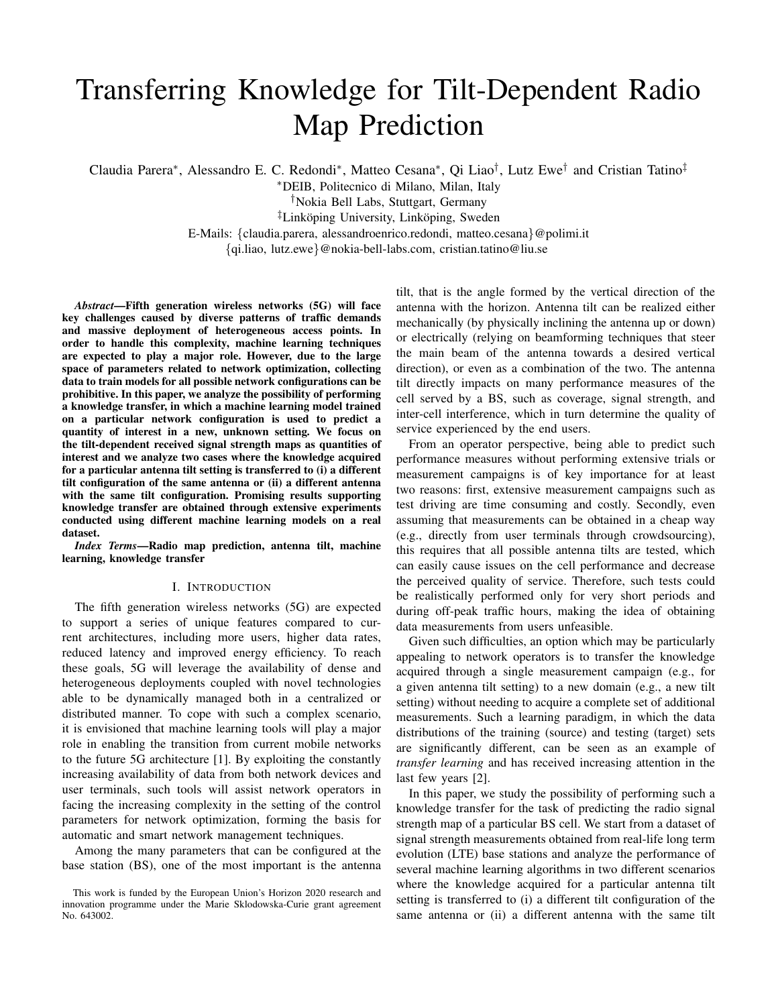# Transferring Knowledge for Tilt-Dependent Radio Map Prediction

Claudia Parera<sup>∗</sup>, Alessandro E. C. Redondi<sup>∗</sup>, Matteo Cesana<sup>∗</sup>, Qi Liao<sup>†</sup>, Lutz Ewe<sup>†</sup> and Cristian Tatino<sup>‡</sup>

<sup>∗</sup>DEIB, Politecnico di Milano, Milan, Italy

†Nokia Bell Labs, Stuttgart, Germany

<sup>‡</sup>Linköping University, Linköping, Sweden

E-Mails: {claudia.parera, alessandroenrico.redondi, matteo.cesana}@polimi.it

{qi.liao, lutz.ewe}@nokia-bell-labs.com, cristian.tatino@liu.se

*Abstract*—Fifth generation wireless networks (5G) will face key challenges caused by diverse patterns of traffic demands and massive deployment of heterogeneous access points. In order to handle this complexity, machine learning techniques are expected to play a major role. However, due to the large space of parameters related to network optimization, collecting data to train models for all possible network configurations can be prohibitive. In this paper, we analyze the possibility of performing a knowledge transfer, in which a machine learning model trained on a particular network configuration is used to predict a quantity of interest in a new, unknown setting. We focus on the tilt-dependent received signal strength maps as quantities of interest and we analyze two cases where the knowledge acquired for a particular antenna tilt setting is transferred to (i) a different tilt configuration of the same antenna or (ii) a different antenna with the same tilt configuration. Promising results supporting knowledge transfer are obtained through extensive experiments conducted using different machine learning models on a real dataset.

*Index Terms*—Radio map prediction, antenna tilt, machine learning, knowledge transfer

## I. INTRODUCTION

The fifth generation wireless networks (5G) are expected to support a series of unique features compared to current architectures, including more users, higher data rates, reduced latency and improved energy efficiency. To reach these goals, 5G will leverage the availability of dense and heterogeneous deployments coupled with novel technologies able to be dynamically managed both in a centralized or distributed manner. To cope with such a complex scenario, it is envisioned that machine learning tools will play a major role in enabling the transition from current mobile networks to the future 5G architecture [1]. By exploiting the constantly increasing availability of data from both network devices and user terminals, such tools will assist network operators in facing the increasing complexity in the setting of the control parameters for network optimization, forming the basis for automatic and smart network management techniques.

Among the many parameters that can be configured at the base station (BS), one of the most important is the antenna tilt, that is the angle formed by the vertical direction of the antenna with the horizon. Antenna tilt can be realized either mechanically (by physically inclining the antenna up or down) or electrically (relying on beamforming techniques that steer the main beam of the antenna towards a desired vertical direction), or even as a combination of the two. The antenna tilt directly impacts on many performance measures of the cell served by a BS, such as coverage, signal strength, and inter-cell interference, which in turn determine the quality of service experienced by the end users.

From an operator perspective, being able to predict such performance measures without performing extensive trials or measurement campaigns is of key importance for at least two reasons: first, extensive measurement campaigns such as test driving are time consuming and costly. Secondly, even assuming that measurements can be obtained in a cheap way (e.g., directly from user terminals through crowdsourcing), this requires that all possible antenna tilts are tested, which can easily cause issues on the cell performance and decrease the perceived quality of service. Therefore, such tests could be realistically performed only for very short periods and during off-peak traffic hours, making the idea of obtaining data measurements from users unfeasible.

Given such difficulties, an option which may be particularly appealing to network operators is to transfer the knowledge acquired through a single measurement campaign (e.g., for a given antenna tilt setting) to a new domain (e.g., a new tilt setting) without needing to acquire a complete set of additional measurements. Such a learning paradigm, in which the data distributions of the training (source) and testing (target) sets are significantly different, can be seen as an example of *transfer learning* and has received increasing attention in the last few years [2].

In this paper, we study the possibility of performing such a knowledge transfer for the task of predicting the radio signal strength map of a particular BS cell. We start from a dataset of signal strength measurements obtained from real-life long term evolution (LTE) base stations and analyze the performance of several machine learning algorithms in two different scenarios where the knowledge acquired for a particular antenna tilt setting is transferred to (i) a different tilt configuration of the same antenna or (ii) a different antenna with the same tilt

This work is funded by the European Union's Horizon 2020 research and innovation programme under the Marie Sklodowska-Curie grant agreement No. 643002.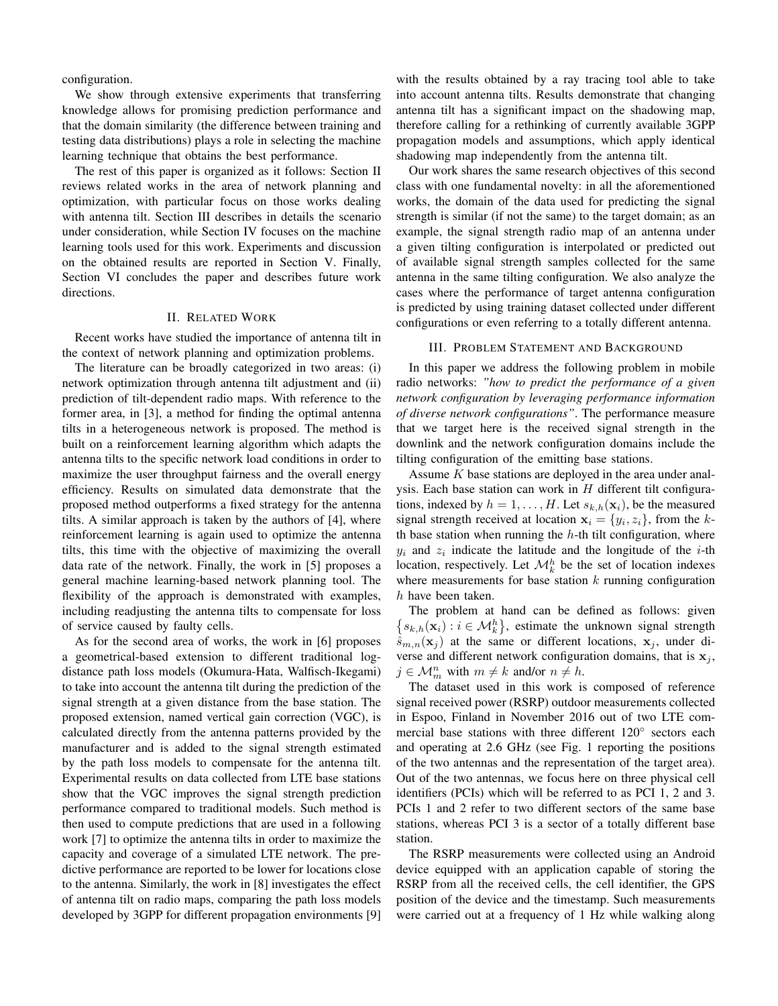configuration.

We show through extensive experiments that transferring knowledge allows for promising prediction performance and that the domain similarity (the difference between training and testing data distributions) plays a role in selecting the machine learning technique that obtains the best performance.

The rest of this paper is organized as it follows: Section II reviews related works in the area of network planning and optimization, with particular focus on those works dealing with antenna tilt. Section III describes in details the scenario under consideration, while Section IV focuses on the machine learning tools used for this work. Experiments and discussion on the obtained results are reported in Section V. Finally, Section VI concludes the paper and describes future work directions.

#### II. RELATED WORK

Recent works have studied the importance of antenna tilt in the context of network planning and optimization problems.

The literature can be broadly categorized in two areas: (i) network optimization through antenna tilt adjustment and (ii) prediction of tilt-dependent radio maps. With reference to the former area, in [3], a method for finding the optimal antenna tilts in a heterogeneous network is proposed. The method is built on a reinforcement learning algorithm which adapts the antenna tilts to the specific network load conditions in order to maximize the user throughput fairness and the overall energy efficiency. Results on simulated data demonstrate that the proposed method outperforms a fixed strategy for the antenna tilts. A similar approach is taken by the authors of [4], where reinforcement learning is again used to optimize the antenna tilts, this time with the objective of maximizing the overall data rate of the network. Finally, the work in [5] proposes a general machine learning-based network planning tool. The flexibility of the approach is demonstrated with examples, including readjusting the antenna tilts to compensate for loss of service caused by faulty cells.

As for the second area of works, the work in [6] proposes a geometrical-based extension to different traditional logdistance path loss models (Okumura-Hata, Walfisch-Ikegami) to take into account the antenna tilt during the prediction of the signal strength at a given distance from the base station. The proposed extension, named vertical gain correction (VGC), is calculated directly from the antenna patterns provided by the manufacturer and is added to the signal strength estimated by the path loss models to compensate for the antenna tilt. Experimental results on data collected from LTE base stations show that the VGC improves the signal strength prediction performance compared to traditional models. Such method is then used to compute predictions that are used in a following work [7] to optimize the antenna tilts in order to maximize the capacity and coverage of a simulated LTE network. The predictive performance are reported to be lower for locations close to the antenna. Similarly, the work in [8] investigates the effect of antenna tilt on radio maps, comparing the path loss models developed by 3GPP for different propagation environments [9]

with the results obtained by a ray tracing tool able to take into account antenna tilts. Results demonstrate that changing antenna tilt has a significant impact on the shadowing map, therefore calling for a rethinking of currently available 3GPP propagation models and assumptions, which apply identical shadowing map independently from the antenna tilt.

Our work shares the same research objectives of this second class with one fundamental novelty: in all the aforementioned works, the domain of the data used for predicting the signal strength is similar (if not the same) to the target domain; as an example, the signal strength radio map of an antenna under a given tilting configuration is interpolated or predicted out of available signal strength samples collected for the same antenna in the same tilting configuration. We also analyze the cases where the performance of target antenna configuration is predicted by using training dataset collected under different configurations or even referring to a totally different antenna.

## III. PROBLEM STATEMENT AND BACKGROUND

In this paper we address the following problem in mobile radio networks: *"how to predict the performance of a given network configuration by leveraging performance information of diverse network configurations"*. The performance measure that we target here is the received signal strength in the downlink and the network configuration domains include the tilting configuration of the emitting base stations.

Assume  $K$  base stations are deployed in the area under analysis. Each base station can work in  $H$  different tilt configurations, indexed by  $h = 1, \ldots, H$ . Let  $s_{k,h}(\mathbf{x}_i)$ , be the measured signal strength received at location  $x_i = \{y_i, z_i\}$ , from the kth base station when running the  $h$ -th tilt configuration, where  $y_i$  and  $z_i$  indicate the latitude and the longitude of the *i*-th location, respectively. Let  $\mathcal{M}_k^h$  be the set of location indexes where measurements for base station  $k$  running configuration h have been taken.

The problem at hand can be defined as follows: given  $\{s_{k,h}(\mathbf{x}_i): i \in \mathcal{M}_k^h\}$ , estimate the unknown signal strength  $\hat{s}_{m,n}(\mathbf{x}_i)$  at the same or different locations,  $\mathbf{x}_i$ , under diverse and different network configuration domains, that is  $x_j$ ,  $j \in \mathcal{M}_m^n$  with  $m \neq k$  and/or  $n \neq h$ .

The dataset used in this work is composed of reference signal received power (RSRP) outdoor measurements collected in Espoo, Finland in November 2016 out of two LTE commercial base stations with three different 120° sectors each and operating at 2.6 GHz (see Fig. 1 reporting the positions of the two antennas and the representation of the target area). Out of the two antennas, we focus here on three physical cell identifiers (PCIs) which will be referred to as PCI 1, 2 and 3. PCIs 1 and 2 refer to two different sectors of the same base stations, whereas PCI 3 is a sector of a totally different base station.

The RSRP measurements were collected using an Android device equipped with an application capable of storing the RSRP from all the received cells, the cell identifier, the GPS position of the device and the timestamp. Such measurements were carried out at a frequency of 1 Hz while walking along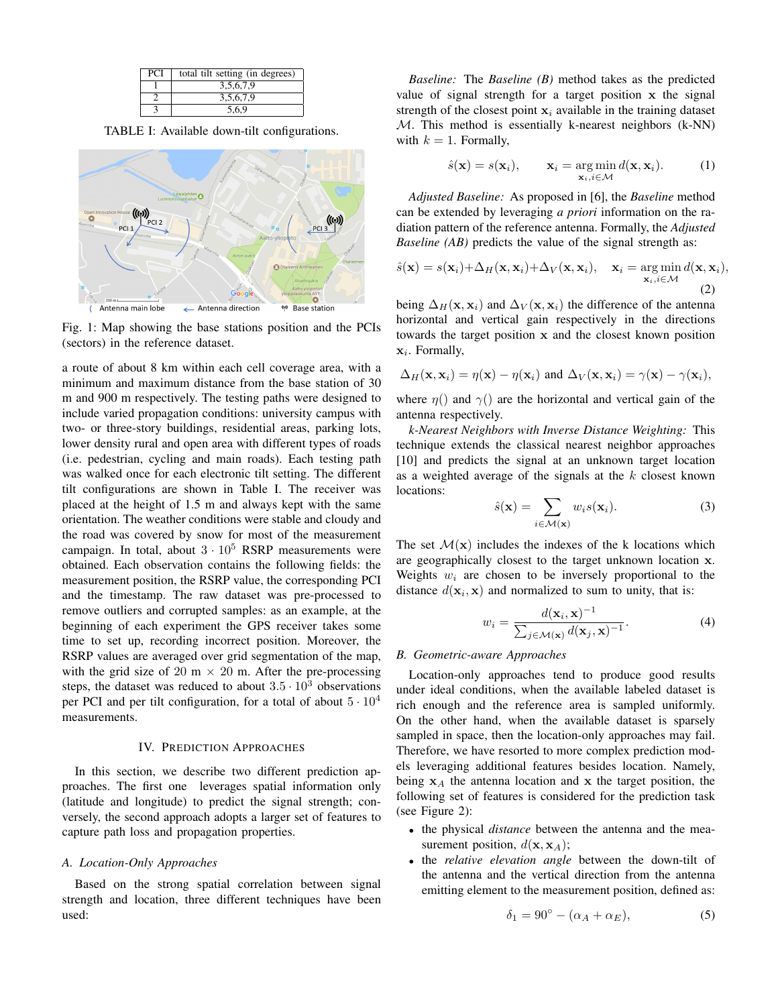| <b>PCI</b> | total tilt setting (in degrees) |
|------------|---------------------------------|
|            | 3,5,6,7,9                       |
|            | 3,5,6,7,9                       |
|            | 5.6.9                           |

TABLE I: Available down-tilt configurations.



Fig. 1: Map showing the base stations position and the PCIs (sectors) in the reference dataset.

a route of about 8 km within each cell coverage area, with a minimum and maximum distance from the base station of 30 m and 900 m respectively. The testing paths were designed to include varied propagation conditions: university campus with two- or three-story buildings, residential areas, parking lots, lower density rural and open area with different types of roads (i.e. pedestrian, cycling and main roads). Each testing path was walked once for each electronic tilt setting. The different tilt configurations are shown in Table I. The receiver was placed at the height of 1.5 m and always kept with the same orientation. The weather conditions were stable and cloudy and the road was covered by snow for most of the measurement campaign. In total, about  $3 \cdot 10^5$  RSRP measurements were obtained. Each observation contains the following fields: the measurement position, the RSRP value, the corresponding PCI and the timestamp. The raw dataset was pre-processed to remove outliers and corrupted samples: as an example, at the beginning of each experiment the GPS receiver takes some time to set up, recording incorrect position. Moreover, the RSRP values are averaged over grid segmentation of the map, with the grid size of 20 m  $\times$  20 m. After the pre-processing steps, the dataset was reduced to about  $3.5 \cdot 10^3$  observations per PCI and per tilt configuration, for a total of about  $5 \cdot 10^4$ measurements.

## IV. PREDICTION APPROACHES

In this section, we describe two different prediction approaches. The first one leverages spatial information only (latitude and longitude) to predict the signal strength; conversely, the second approach adopts a larger set of features to capture path loss and propagation properties.

#### *A. Location-Only Approaches*

Based on the strong spatial correlation between signal strength and location, three different techniques have been used:

*Baseline:* The *Baseline (B)* method takes as the predicted value of signal strength for a target position x the signal strength of the closest point  $x_i$  available in the training dataset  $M$ . This method is essentially k-nearest neighbors (k-NN) with  $k = 1$ . Formally,

$$
\hat{s}(\mathbf{x}) = s(\mathbf{x}_i), \qquad \mathbf{x}_i = \operatorname*{arg\,min}_{\mathbf{x}_i, i \in \mathcal{M}} d(\mathbf{x}, \mathbf{x}_i). \tag{1}
$$

*Adjusted Baseline:* As proposed in [6], the *Baseline* method can be extended by leveraging *a priori* information on the radiation pattern of the reference antenna. Formally, the *Adjusted Baseline (AB)* predicts the value of the signal strength as:

$$
\hat{s}(\mathbf{x}) = s(\mathbf{x}_i) + \Delta_H(\mathbf{x}, \mathbf{x}_i) + \Delta_V(\mathbf{x}, \mathbf{x}_i), \quad \mathbf{x}_i = \underset{\mathbf{x}_i, i \in \mathcal{M}}{\arg \min} d(\mathbf{x}, \mathbf{x}_i),
$$
\n(2)

being  $\Delta_H(\mathbf{x}, \mathbf{x}_i)$  and  $\Delta_V(\mathbf{x}, \mathbf{x}_i)$  the difference of the antenna horizontal and vertical gain respectively in the directions towards the target position x and the closest known position  $x_i$ . Formally,

$$
\Delta_H(\mathbf{x}, \mathbf{x}_i) = \eta(\mathbf{x}) - \eta(\mathbf{x}_i) \text{ and } \Delta_V(\mathbf{x}, \mathbf{x}_i) = \gamma(\mathbf{x}) - \gamma(\mathbf{x}_i),
$$

where  $\eta()$  and  $\gamma()$  are the horizontal and vertical gain of the antenna respectively.

*k-Nearest Neighbors with Inverse Distance Weighting:* This technique extends the classical nearest neighbor approaches [10] and predicts the signal at an unknown target location as a weighted average of the signals at the  $k$  closest known locations:

$$
\hat{s}(\mathbf{x}) = \sum_{i \in \mathcal{M}(\mathbf{x})} w_i s(\mathbf{x}_i).
$$
 (3)

The set  $\mathcal{M}(x)$  includes the indexes of the k locations which are geographically closest to the target unknown location x. Weights  $w_i$  are chosen to be inversely proportional to the distance  $d(\mathbf{x}_i, \mathbf{x})$  and normalized to sum to unity, that is:

$$
w_i = \frac{d(\mathbf{x}_i, \mathbf{x})^{-1}}{\sum_{j \in \mathcal{M}(\mathbf{x})} d(\mathbf{x}_j, \mathbf{x})^{-1}}.
$$
 (4)

#### *B. Geometric-aware Approaches*

Location-only approaches tend to produce good results under ideal conditions, when the available labeled dataset is rich enough and the reference area is sampled uniformly. On the other hand, when the available dataset is sparsely sampled in space, then the location-only approaches may fail. Therefore, we have resorted to more complex prediction models leveraging additional features besides location. Namely, being  $x_A$  the antenna location and x the target position, the following set of features is considered for the prediction task (see Figure 2):

- the physical *distance* between the antenna and the measurement position,  $d(\mathbf{x}, \mathbf{x}_A)$ ;
- the *relative elevation angle* between the down-tilt of the antenna and the vertical direction from the antenna emitting element to the measurement position, defined as:

$$
\delta_1 = 90^\circ - (\alpha_A + \alpha_E),\tag{5}
$$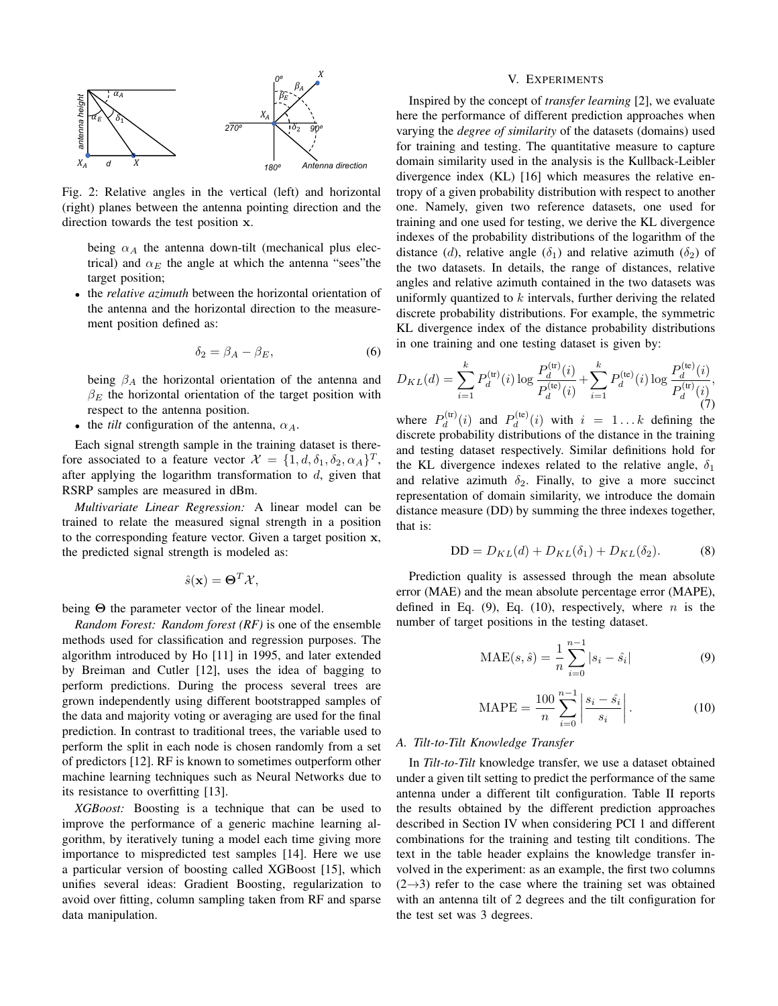

Fig. 2: Relative angles in the vertical (left) and horizontal (right) planes between the antenna pointing direction and the direction towards the test position x.

being  $\alpha_A$  the antenna down-tilt (mechanical plus electrical) and  $\alpha_E$  the angle at which the antenna "sees" the target position;

• the *relative azimuth* between the horizontal orientation of the antenna and the horizontal direction to the measurement position defined as:

$$
\delta_2 = \beta_A - \beta_E,\tag{6}
$$

being  $\beta_A$  the horizontal orientation of the antenna and  $\beta_E$  the horizontal orientation of the target position with respect to the antenna position.

• the *tilt* configuration of the antenna,  $\alpha_A$ .

Each signal strength sample in the training dataset is therefore associated to a feature vector  $\mathcal{X} = \{1, d, \delta_1, \delta_2, \alpha_A\}^T$ , after applying the logarithm transformation to  $d$ , given that RSRP samples are measured in dBm.

*Multivariate Linear Regression:* A linear model can be trained to relate the measured signal strength in a position to the corresponding feature vector. Given a target position x, the predicted signal strength is modeled as:

$$
\hat{s}(\mathbf{x}) = \mathbf{\Theta}^T \mathcal{X},
$$

being Θ the parameter vector of the linear model.

*Random Forest: Random forest (RF)* is one of the ensemble methods used for classification and regression purposes. The algorithm introduced by Ho [11] in 1995, and later extended by Breiman and Cutler [12], uses the idea of bagging to perform predictions. During the process several trees are grown independently using different bootstrapped samples of the data and majority voting or averaging are used for the final prediction. In contrast to traditional trees, the variable used to perform the split in each node is chosen randomly from a set of predictors [12]. RF is known to sometimes outperform other machine learning techniques such as Neural Networks due to its resistance to overfitting [13].

*XGBoost:* Boosting is a technique that can be used to improve the performance of a generic machine learning algorithm, by iteratively tuning a model each time giving more importance to mispredicted test samples [14]. Here we use a particular version of boosting called XGBoost [15], which unifies several ideas: Gradient Boosting, regularization to avoid over fitting, column sampling taken from RF and sparse data manipulation.

#### V. EXPERIMENTS

Inspired by the concept of *transfer learning* [2], we evaluate here the performance of different prediction approaches when varying the *degree of similarity* of the datasets (domains) used for training and testing. The quantitative measure to capture domain similarity used in the analysis is the Kullback-Leibler divergence index (KL) [16] which measures the relative entropy of a given probability distribution with respect to another one. Namely, given two reference datasets, one used for training and one used for testing, we derive the KL divergence indexes of the probability distributions of the logarithm of the distance (d), relative angle ( $\delta_1$ ) and relative azimuth ( $\delta_2$ ) of the two datasets. In details, the range of distances, relative angles and relative azimuth contained in the two datasets was uniformly quantized to  $k$  intervals, further deriving the related discrete probability distributions. For example, the symmetric KL divergence index of the distance probability distributions in one training and one testing dataset is given by:

$$
D_{KL}(d) = \sum_{i=1}^{k} P_d^{(\text{tr})}(i) \log \frac{P_d^{(\text{tr})}(i)}{P_d^{(\text{te})}(i)} + \sum_{i=1}^{k} P_d^{(\text{te})}(i) \log \frac{P_d^{(\text{te})}(i)}{P_d^{(\text{tr})}(i)},
$$
\n
$$
(c)
$$

where  $P_d^{\text{(tr)}}$  $P_d^{\text{(tr)}}(i)$  and  $P_d^{\text{(te)}}$  $d_d^{(\text{te})}(i)$  with  $i = 1...k$  defining the discrete probability distributions of the distance in the training and testing dataset respectively. Similar definitions hold for the KL divergence indexes related to the relative angle,  $\delta_1$ and relative azimuth  $\delta_2$ . Finally, to give a more succinct representation of domain similarity, we introduce the domain distance measure (DD) by summing the three indexes together, that is:

$$
DD = D_{KL}(d) + D_{KL}(\delta_1) + D_{KL}(\delta_2). \tag{8}
$$

Prediction quality is assessed through the mean absolute error (MAE) and the mean absolute percentage error (MAPE), defined in Eq. (9), Eq. (10), respectively, where  $n$  is the number of target positions in the testing dataset.

$$
MAE(s, \hat{s}) = \frac{1}{n} \sum_{i=0}^{n-1} |s_i - \hat{s}_i|
$$
 (9)

$$
MAPE = \frac{100}{n} \sum_{i=0}^{n-1} \left| \frac{s_i - \hat{s}_i}{s_i} \right|.
$$
 (10)

# *A. Tilt-to-Tilt Knowledge Transfer*

In *Tilt-to-Tilt* knowledge transfer, we use a dataset obtained under a given tilt setting to predict the performance of the same antenna under a different tilt configuration. Table II reports the results obtained by the different prediction approaches described in Section IV when considering PCI 1 and different combinations for the training and testing tilt conditions. The text in the table header explains the knowledge transfer involved in the experiment: as an example, the first two columns  $(2\rightarrow)$  refer to the case where the training set was obtained with an antenna tilt of 2 degrees and the tilt configuration for the test set was 3 degrees.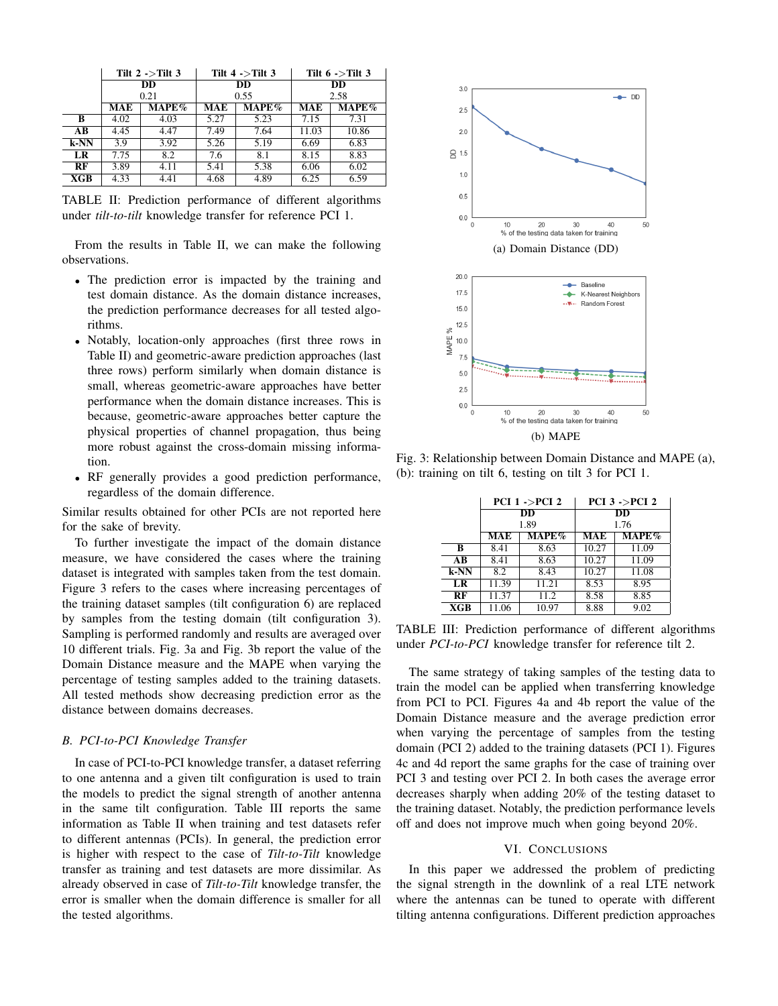|                         | Tilt $2 >$ Tilt 3       |      | Tilt $4$ ->Tilt 3                |      | Tilt $6$ ->Tilt 3       |       |
|-------------------------|-------------------------|------|----------------------------------|------|-------------------------|-------|
|                         | DD                      |      | DD                               |      | <b>DD</b>               |       |
|                         | 0.21<br>$MAPE\%$<br>MAE |      | 0.55<br>$\mathbf{MAPE}\%$<br>MAE |      | 2.58<br>$MAPE\%$<br>MAE |       |
| в                       | 4.02                    | 4.03 | 5.27                             | 5.23 | 7.15                    | 7.31  |
| AВ                      | 4.45                    | 4.47 | 7.49                             | 7.64 | 11.03                   | 10.86 |
| $k-NN$                  | 3.9                     | 3.92 | 5.26                             | 5.19 | 6.69                    | 6.83  |
| LR                      | 7.75                    | 8.2  | 7.6                              | 8.1  | 8.15                    | 8.83  |
| RF                      | 3.89                    | 4.11 | 5.41                             | 5.38 | 6.06                    | 6.02  |
| $\overline{\text{XGB}}$ | 4.33                    | 4.41 | 4.68                             | 4.89 | 6.25                    | 6.59  |

TABLE II: Prediction performance of different algorithms under *tilt-to-tilt* knowledge transfer for reference PCI 1.

From the results in Table II, we can make the following observations.

- The prediction error is impacted by the training and test domain distance. As the domain distance increases, the prediction performance decreases for all tested algorithms.
- Notably, location-only approaches (first three rows in Table II) and geometric-aware prediction approaches (last three rows) perform similarly when domain distance is small, whereas geometric-aware approaches have better performance when the domain distance increases. This is because, geometric-aware approaches better capture the physical properties of channel propagation, thus being more robust against the cross-domain missing information.
- RF generally provides a good prediction performance, regardless of the domain difference.

Similar results obtained for other PCIs are not reported here for the sake of brevity.

To further investigate the impact of the domain distance measure, we have considered the cases where the training dataset is integrated with samples taken from the test domain. Figure 3 refers to the cases where increasing percentages of the training dataset samples (tilt configuration 6) are replaced by samples from the testing domain (tilt configuration 3). Sampling is performed randomly and results are averaged over 10 different trials. Fig. 3a and Fig. 3b report the value of the Domain Distance measure and the MAPE when varying the percentage of testing samples added to the training datasets. All tested methods show decreasing prediction error as the distance between domains decreases.

# *B. PCI-to-PCI Knowledge Transfer*

In case of PCI-to-PCI knowledge transfer, a dataset referring to one antenna and a given tilt configuration is used to train the models to predict the signal strength of another antenna in the same tilt configuration. Table III reports the same information as Table II when training and test datasets refer to different antennas (PCIs). In general, the prediction error is higher with respect to the case of *Tilt-to-Tilt* knowledge transfer as training and test datasets are more dissimilar. As already observed in case of *Tilt-to-Tilt* knowledge transfer, the error is smaller when the domain difference is smaller for all the tested algorithms.



Fig. 3: Relationship between Domain Distance and MAPE (a), (b): training on tilt 6, testing on tilt 3 for PCI 1.

|      |       | PCI $1 -$ >PCI $2$      | PCI $3$ ->PCI $2$ |          |  |
|------|-------|-------------------------|-------------------|----------|--|
|      |       | $\overline{\mathbf{D}}$ | $\overline{DD}$   |          |  |
|      |       | 1.89                    | 1.76              |          |  |
|      | MAE   | $MAPE\%$                | <b>MAE</b>        | $MAPE\%$ |  |
| R    | 8.41  | 8.63                    | 10.27             | 11.09    |  |
| AB   | 8.41  | 8.63                    | 10.27             | 11.09    |  |
| k-NN | 8.2   | 8.43                    | 10.27             | 11.08    |  |
| LR   | 11.39 | 11.21                   | 8.53              | 8.95     |  |
| RF   | 11.37 | 11.2                    | 8.58              | 8.85     |  |
| XGB  | 11.06 | 10.97                   | 8.88              | 9.02     |  |

TABLE III: Prediction performance of different algorithms under *PCI-to-PCI* knowledge transfer for reference tilt 2.

The same strategy of taking samples of the testing data to train the model can be applied when transferring knowledge from PCI to PCI. Figures 4a and 4b report the value of the Domain Distance measure and the average prediction error when varying the percentage of samples from the testing domain (PCI 2) added to the training datasets (PCI 1). Figures 4c and 4d report the same graphs for the case of training over PCI 3 and testing over PCI 2. In both cases the average error decreases sharply when adding 20% of the testing dataset to the training dataset. Notably, the prediction performance levels off and does not improve much when going beyond 20%.

### VI. CONCLUSIONS

In this paper we addressed the problem of predicting the signal strength in the downlink of a real LTE network where the antennas can be tuned to operate with different tilting antenna configurations. Different prediction approaches